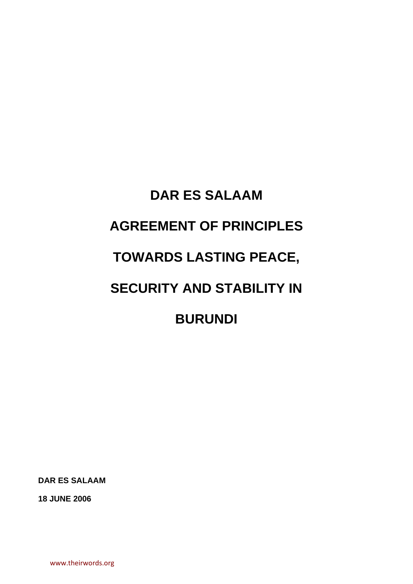# **DAR ES SALAAM AGREEMENT OF PRINCIPLES TOWARDS LASTING PEACE, SECURITY AND STABILITY IN BURUNDI**

**DAR ES SALAAM** 

**18 JUNE 2006** 

www.theirwords.org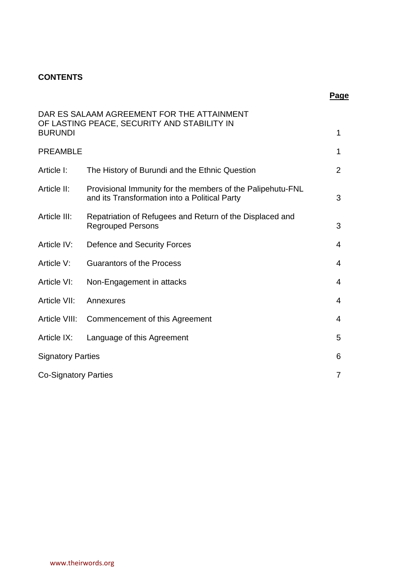## **CONTENTS**

| <b>BURUNDI</b>              | DAR ES SALAAM AGREEMENT FOR THE ATTAINMENT<br>OF LASTING PEACE, SECURITY AND STABILITY IN                   | $\mathbf{1}$   |
|-----------------------------|-------------------------------------------------------------------------------------------------------------|----------------|
| <b>PREAMBLE</b>             |                                                                                                             | 1              |
|                             |                                                                                                             |                |
| Article I:                  | The History of Burundi and the Ethnic Question                                                              | $\overline{2}$ |
| Article II:                 | Provisional Immunity for the members of the Palipehutu-FNL<br>and its Transformation into a Political Party | 3              |
| Article III:                | Repatriation of Refugees and Return of the Displaced and<br><b>Regrouped Persons</b>                        | 3              |
| Article IV:                 | Defence and Security Forces                                                                                 | 4              |
| Article V:                  | <b>Guarantors of the Process</b>                                                                            | $\overline{4}$ |
| Article VI:                 | Non-Engagement in attacks                                                                                   | 4              |
| Article VII:                | Annexures                                                                                                   | $\overline{4}$ |
| Article VIII:               | Commencement of this Agreement                                                                              | $\overline{4}$ |
| Article IX:                 | Language of this Agreement                                                                                  | 5              |
| <b>Signatory Parties</b>    |                                                                                                             |                |
| <b>Co-Signatory Parties</b> |                                                                                                             |                |

**Page** in the contract of the contract of the contract of the contract of the contract of the contract of the contract of the contract of the contract of the contract of the contract of the contract of the contract of the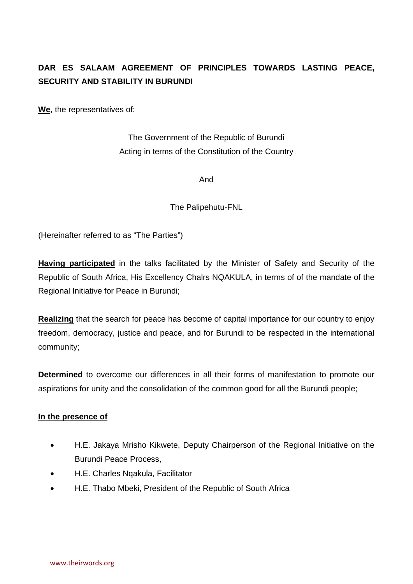# **DAR ES SALAAM AGREEMENT OF PRINCIPLES TOWARDS LASTING PEACE, SECURITY AND STABILITY IN BURUNDI**

**We**, the representatives of:

The Government of the Republic of Burundi Acting in terms of the Constitution of the Country

And

The Palipehutu-FNL

(Hereinafter referred to as "The Parties")

**Having participated** in the talks facilitated by the Minister of Safety and Security of the Republic of South Africa, His Excellency Chalrs NQAKULA, in terms of of the mandate of the Regional Initiative for Peace in Burundi;

**Realizing** that the search for peace has become of capital importance for our country to enjoy freedom, democracy, justice and peace, and for Burundi to be respected in the international community;

**Determined** to overcome our differences in all their forms of manifestation to promote our aspirations for unity and the consolidation of the common good for all the Burundi people;

#### **In the presence of**

- H.E. Jakaya Mrisho Kikwete, Deputy Chairperson of the Regional Initiative on the Burundi Peace Process,
- H.E. Charles Nqakula, Facilitator
- H.E. Thabo Mbeki, President of the Republic of South Africa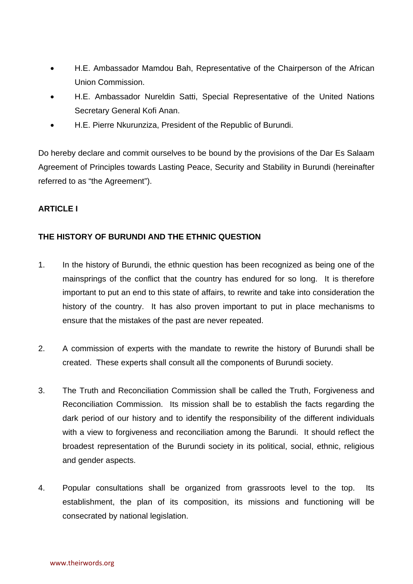- H.E. Ambassador Mamdou Bah, Representative of the Chairperson of the African Union Commission.
- H.E. Ambassador Nureldin Satti, Special Representative of the United Nations Secretary General Kofi Anan.
- H.E. Pierre Nkurunziza, President of the Republic of Burundi.

Do hereby declare and commit ourselves to be bound by the provisions of the Dar Es Salaam Agreement of Principles towards Lasting Peace, Security and Stability in Burundi (hereinafter referred to as "the Agreement").

#### **ARTICLE I**

## **THE HISTORY OF BURUNDI AND THE ETHNIC QUESTION**

- 1. In the history of Burundi, the ethnic question has been recognized as being one of the mainsprings of the conflict that the country has endured for so long. It is therefore important to put an end to this state of affairs, to rewrite and take into consideration the history of the country. It has also proven important to put in place mechanisms to ensure that the mistakes of the past are never repeated.
- 2. A commission of experts with the mandate to rewrite the history of Burundi shall be created. These experts shall consult all the components of Burundi society.
- 3. The Truth and Reconciliation Commission shall be called the Truth, Forgiveness and Reconciliation Commission. Its mission shall be to establish the facts regarding the dark period of our history and to identify the responsibility of the different individuals with a view to forgiveness and reconciliation among the Barundi. It should reflect the broadest representation of the Burundi society in its political, social, ethnic, religious and gender aspects.
- 4. Popular consultations shall be organized from grassroots level to the top. Its establishment, the plan of its composition, its missions and functioning will be consecrated by national legislation.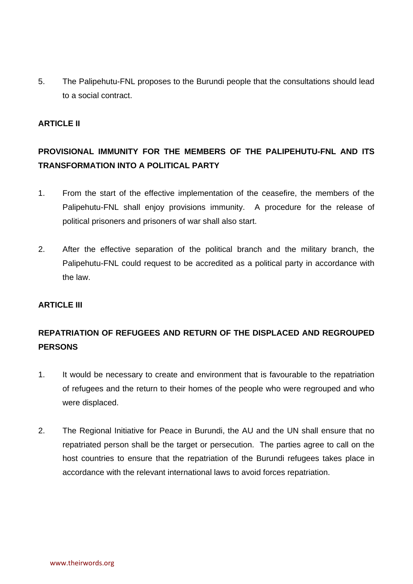5. The Palipehutu-FNL proposes to the Burundi people that the consultations should lead to a social contract.

#### **ARTICLE II**

# **PROVISIONAL IMMUNITY FOR THE MEMBERS OF THE PALIPEHUTU-FNL AND ITS TRANSFORMATION INTO A POLITICAL PARTY**

- 1. From the start of the effective implementation of the ceasefire, the members of the Palipehutu-FNL shall enjoy provisions immunity. A procedure for the release of political prisoners and prisoners of war shall also start.
- 2. After the effective separation of the political branch and the military branch, the Palipehutu-FNL could request to be accredited as a political party in accordance with the law.

#### **ARTICLE III**

## **REPATRIATION OF REFUGEES AND RETURN OF THE DISPLACED AND REGROUPED PERSONS**

- 1. It would be necessary to create and environment that is favourable to the repatriation of refugees and the return to their homes of the people who were regrouped and who were displaced.
- 2. The Regional Initiative for Peace in Burundi, the AU and the UN shall ensure that no repatriated person shall be the target or persecution. The parties agree to call on the host countries to ensure that the repatriation of the Burundi refugees takes place in accordance with the relevant international laws to avoid forces repatriation.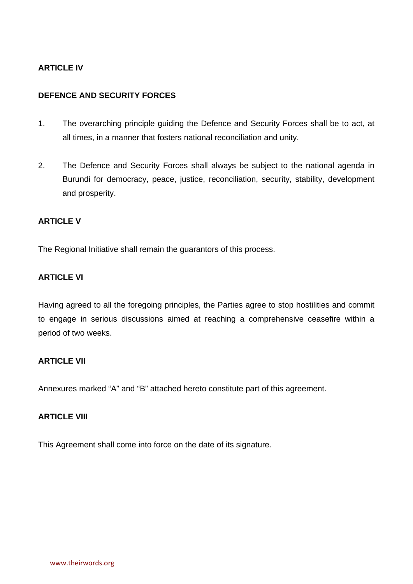#### **ARTICLE IV**

#### **DEFENCE AND SECURITY FORCES**

- 1. The overarching principle guiding the Defence and Security Forces shall be to act, at all times, in a manner that fosters national reconciliation and unity.
- 2. The Defence and Security Forces shall always be subject to the national agenda in Burundi for democracy, peace, justice, reconciliation, security, stability, development and prosperity.

#### **ARTICLE V**

The Regional Initiative shall remain the guarantors of this process.

#### **ARTICLE VI**

Having agreed to all the foregoing principles, the Parties agree to stop hostilities and commit to engage in serious discussions aimed at reaching a comprehensive ceasefire within a period of two weeks.

#### **ARTICLE VII**

Annexures marked "A" and "B" attached hereto constitute part of this agreement.

### **ARTICLE VIII**

This Agreement shall come into force on the date of its signature.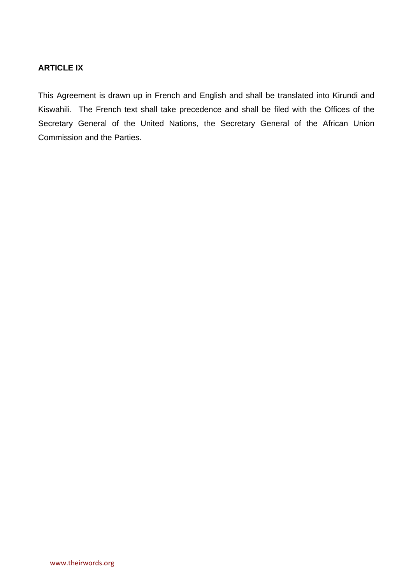#### **ARTICLE IX**

This Agreement is drawn up in French and English and shall be translated into Kirundi and Kiswahili. The French text shall take precedence and shall be filed with the Offices of the Secretary General of the United Nations, the Secretary General of the African Union Commission and the Parties.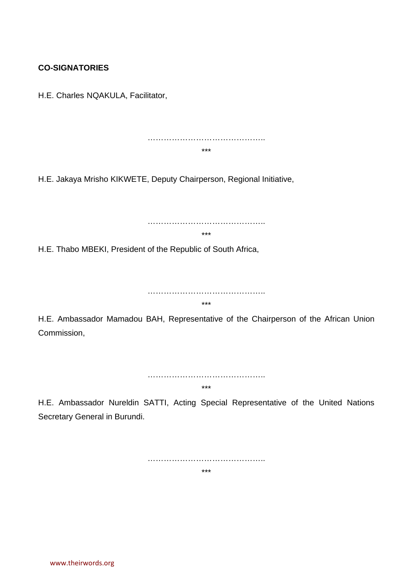## **CO-SIGNATORIES**

H.E. Charles NQAKULA, Facilitator,

…………………………………….. \*\*\*

H.E. Jakaya Mrisho KIKWETE, Deputy Chairperson, Regional Initiative,

……………………………………..

\*\*\*

H.E. Thabo MBEKI, President of the Republic of South Africa,

…………………………………….. \*\*\*

H.E. Ambassador Mamadou BAH, Representative of the Chairperson of the African Union Commission,

> …………………………………….. \*\*\*

H.E. Ambassador Nureldin SATTI, Acting Special Representative of the United Nations Secretary General in Burundi.

> …………………………………….. \*\*\*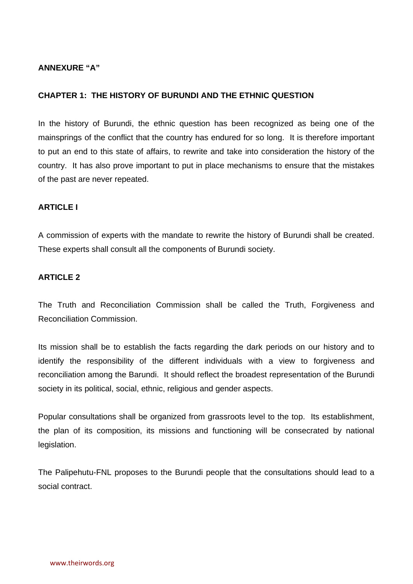#### **ANNEXURE "A"**

#### **CHAPTER 1: THE HISTORY OF BURUNDI AND THE ETHNIC QUESTION**

In the history of Burundi, the ethnic question has been recognized as being one of the mainsprings of the conflict that the country has endured for so long. It is therefore important to put an end to this state of affairs, to rewrite and take into consideration the history of the country. It has also prove important to put in place mechanisms to ensure that the mistakes of the past are never repeated.

#### **ARTICLE I**

A commission of experts with the mandate to rewrite the history of Burundi shall be created. These experts shall consult all the components of Burundi society.

#### **ARTICLE 2**

The Truth and Reconciliation Commission shall be called the Truth, Forgiveness and Reconciliation Commission.

Its mission shall be to establish the facts regarding the dark periods on our history and to identify the responsibility of the different individuals with a view to forgiveness and reconciliation among the Barundi. It should reflect the broadest representation of the Burundi society in its political, social, ethnic, religious and gender aspects.

Popular consultations shall be organized from grassroots level to the top. Its establishment, the plan of its composition, its missions and functioning will be consecrated by national legislation.

The Palipehutu-FNL proposes to the Burundi people that the consultations should lead to a social contract.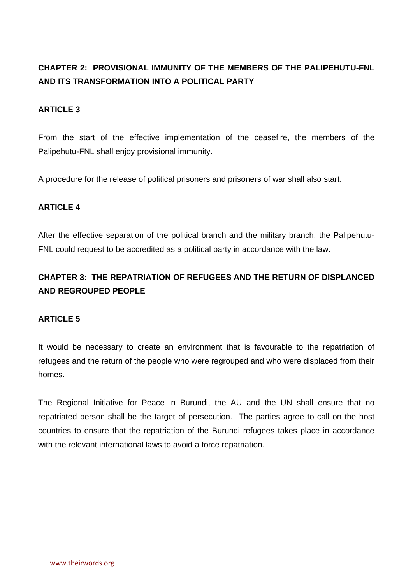# **CHAPTER 2: PROVISIONAL IMMUNITY OF THE MEMBERS OF THE PALIPEHUTU-FNL AND ITS TRANSFORMATION INTO A POLITICAL PARTY**

#### **ARTICLE 3**

From the start of the effective implementation of the ceasefire, the members of the Palipehutu-FNL shall enjoy provisional immunity.

A procedure for the release of political prisoners and prisoners of war shall also start.

#### **ARTICLE 4**

After the effective separation of the political branch and the military branch, the Palipehutu-FNL could request to be accredited as a political party in accordance with the law.

# **CHAPTER 3: THE REPATRIATION OF REFUGEES AND THE RETURN OF DISPLANCED AND REGROUPED PEOPLE**

#### **ARTICLE 5**

It would be necessary to create an environment that is favourable to the repatriation of refugees and the return of the people who were regrouped and who were displaced from their homes.

The Regional Initiative for Peace in Burundi, the AU and the UN shall ensure that no repatriated person shall be the target of persecution. The parties agree to call on the host countries to ensure that the repatriation of the Burundi refugees takes place in accordance with the relevant international laws to avoid a force repatriation.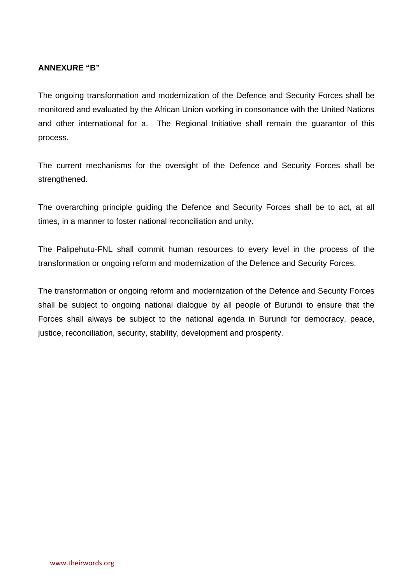#### **ANNEXURE "B"**

The ongoing transformation and modernization of the Defence and Security Forces shall be monitored and evaluated by the African Union working in consonance with the United Nations and other international for a. The Regional Initiative shall remain the guarantor of this process.

The current mechanisms for the oversight of the Defence and Security Forces shall be strengthened.

The overarching principle guiding the Defence and Security Forces shall be to act, at all times, in a manner to foster national reconciliation and unity.

The Palipehutu-FNL shall commit human resources to every level in the process of the transformation or ongoing reform and modernization of the Defence and Security Forces.

The transformation or ongoing reform and modernization of the Defence and Security Forces shall be subject to ongoing national dialogue by all people of Burundi to ensure that the Forces shall always be subject to the national agenda in Burundi for democracy, peace, justice, reconciliation, security, stability, development and prosperity.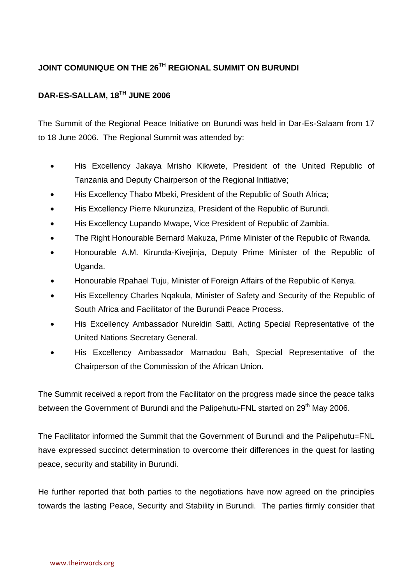# **JOINT COMUNIQUE ON THE 26TH REGIONAL SUMMIT ON BURUNDI**

## **DAR-ES-SALLAM, 18TH JUNE 2006**

The Summit of the Regional Peace Initiative on Burundi was held in Dar-Es-Salaam from 17 to 18 June 2006. The Regional Summit was attended by:

- His Excellency Jakaya Mrisho Kikwete, President of the United Republic of Tanzania and Deputy Chairperson of the Regional Initiative;
- His Excellency Thabo Mbeki, President of the Republic of South Africa;
- His Excellency Pierre Nkurunziza, President of the Republic of Burundi.
- His Excellency Lupando Mwape, Vice President of Republic of Zambia.
- The Right Honourable Bernard Makuza, Prime Minister of the Republic of Rwanda.
- Honourable A.M. Kirunda-Kivejinja, Deputy Prime Minister of the Republic of Uganda.
- Honourable Rpahael Tuju, Minister of Foreign Affairs of the Republic of Kenya.
- His Excellency Charles Nqakula, Minister of Safety and Security of the Republic of South Africa and Facilitator of the Burundi Peace Process.
- His Excellency Ambassador Nureldin Satti, Acting Special Representative of the United Nations Secretary General.
- His Excellency Ambassador Mamadou Bah, Special Representative of the Chairperson of the Commission of the African Union.

The Summit received a report from the Facilitator on the progress made since the peace talks between the Government of Burundi and the Palipehutu-FNL started on 29<sup>th</sup> May 2006.

The Facilitator informed the Summit that the Government of Burundi and the Palipehutu=FNL have expressed succinct determination to overcome their differences in the quest for lasting peace, security and stability in Burundi.

He further reported that both parties to the negotiations have now agreed on the principles towards the lasting Peace, Security and Stability in Burundi. The parties firmly consider that